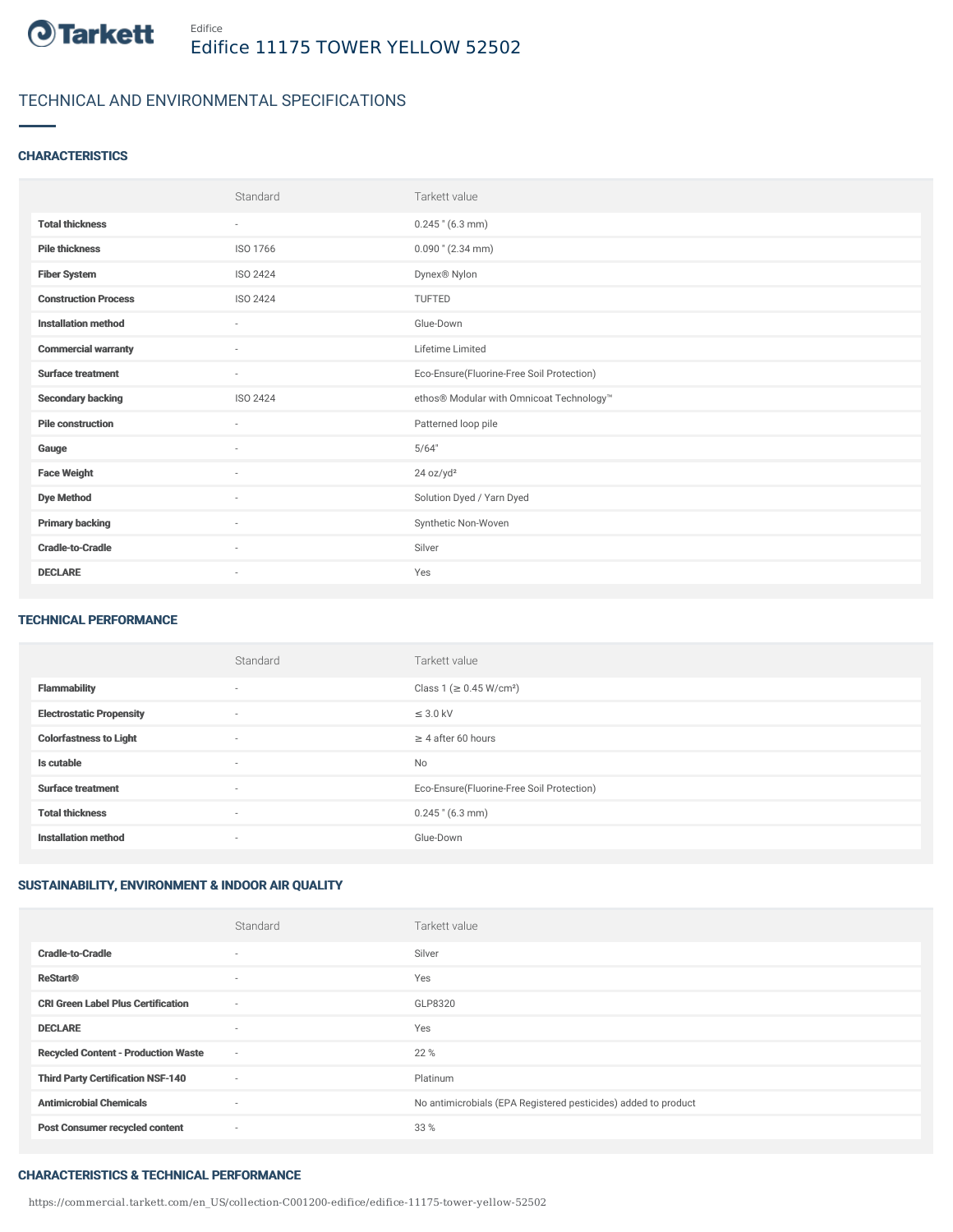

## TECHNICAL AND ENVIRONMENTAL SPECIFICATIONS

### **CHARACTERISTICS**

|                             | Standard | Tarkett value                             |
|-----------------------------|----------|-------------------------------------------|
| <b>Total thickness</b>      | $\sim$   | $0.245$ " (6.3 mm)                        |
| <b>Pile thickness</b>       | ISO 1766 | $0.090$ " (2.34 mm)                       |
| <b>Fiber System</b>         | ISO 2424 | Dynex® Nylon                              |
| <b>Construction Process</b> | ISO 2424 | TUFTED                                    |
| <b>Installation method</b>  | $\sim$   | Glue-Down                                 |
| <b>Commercial warranty</b>  | ٠        | Lifetime Limited                          |
| <b>Surface treatment</b>    | $\sim$   | Eco-Ensure(Fluorine-Free Soil Protection) |
| <b>Secondary backing</b>    | ISO 2424 | ethos® Modular with Omnicoat Technology™  |
| <b>Pile construction</b>    | $\sim$   | Patterned loop pile                       |
| Gauge                       | ٠        | 5/64"                                     |
| <b>Face Weight</b>          | ٠        | 24 oz/yd <sup>2</sup>                     |
| <b>Dye Method</b>           | $\sim$   | Solution Dyed / Yarn Dyed                 |
| <b>Primary backing</b>      | ٠        | Synthetic Non-Woven                       |
| <b>Cradle-to-Cradle</b>     | ×        | Silver                                    |
| <b>DECLARE</b>              | ٠        | Yes                                       |

#### TECHNICAL PERFORMANCE

|                                 | Standard                 | Tarkett value                             |
|---------------------------------|--------------------------|-------------------------------------------|
| <b>Flammability</b>             | $\overline{\phantom{a}}$ | Class 1 (≥ 0.45 W/cm <sup>2</sup> )       |
| <b>Electrostatic Propensity</b> | $\overline{\phantom{a}}$ | $\leq$ 3.0 kV                             |
| <b>Colorfastness to Light</b>   | $\overline{\phantom{a}}$ | $\geq 4$ after 60 hours                   |
| Is cutable                      | $\sim$                   | <b>No</b>                                 |
| <b>Surface treatment</b>        | $\overline{\phantom{a}}$ | Eco-Ensure(Fluorine-Free Soil Protection) |
| <b>Total thickness</b>          | $\overline{\phantom{a}}$ | $0.245$ " (6.3 mm)                        |
| <b>Installation method</b>      | $\overline{\phantom{a}}$ | Glue-Down                                 |

### SUSTAINABILITY, ENVIRONMENT & INDOOR AIR QUALITY

|                                            | Standard                 | Tarkett value                                                  |
|--------------------------------------------|--------------------------|----------------------------------------------------------------|
| <b>Cradle-to-Cradle</b>                    | ٠                        | Silver                                                         |
| <b>ReStart®</b>                            | $\sim$                   | Yes                                                            |
| <b>CRI Green Label Plus Certification</b>  | $\overline{\phantom{a}}$ | GLP8320                                                        |
| <b>DECLARE</b>                             | ۰                        | Yes                                                            |
| <b>Recycled Content - Production Waste</b> | $\sim$                   | 22 %                                                           |
| <b>Third Party Certification NSF-140</b>   | $\sim$                   | Platinum                                                       |
| <b>Antimicrobial Chemicals</b>             | ٠                        | No antimicrobials (EPA Registered pesticides) added to product |
| <b>Post Consumer recycled content</b>      | ٠                        | 33 %                                                           |

### CHARACTERISTICS & TECHNICAL PERFORMANCE